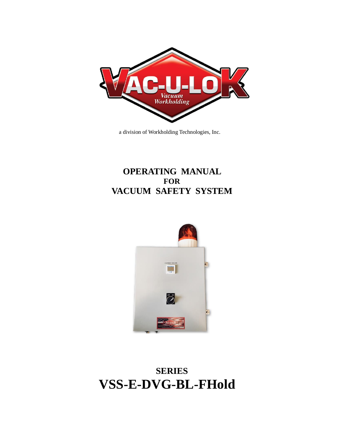

a division of Workholding Technologies, Inc.

# **OPERATING MANUAL FOR VACUUM SAFETY SYSTEM**



# **SERIES VSS-E-DVG-BL-FHold**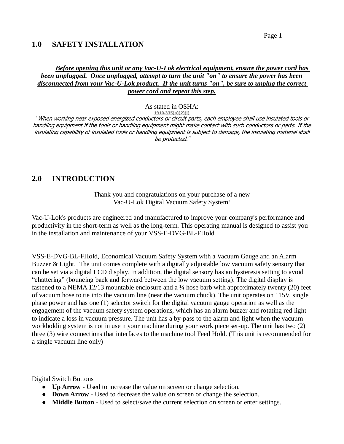#### **1.0 SAFETY INSTALLATION**

#### *Before opening this unit or any Vac-U-Lok electrical equipment, ensure the power cord has been unplugged. Once unplugged, attempt to turn the unit "on" to ensure the power has been disconnected from your Vac-U-Lok product. If the unit turns "on", be sure to unplug the correct power cord and repeat this step.*

As stated in OSHA:

**[1910.335\(a\)\(2\)\(i\)](https://www.osha.gov/pls/oshaweb/owalink.query_links?src_doc_type=STANDARDS&src_unique_file=1910_0335&src_anchor_name=1910.335(a)(2)(i))**

"When working near exposed energized conductors or circuit parts, each employee shall use insulated tools or handling equipment if the tools or handling equipment might make contact with such conductors or parts. If the insulating capability of insulated tools or handling equipment is subject to damage, the insulating material shall be protected."

### **2.0 INTRODUCTION**

Thank you and congratulations on your purchase of a new Vac-U-Lok Digital Vacuum Safety System!

Vac-U-Lok's products are engineered and manufactured to improve your company's performance and productivity in the short-term as well as the long-term. This operating manual is designed to assist you in the installation and maintenance of your VSS-E-DVG-BL-FHold.

VSS-E-DVG-BL-FHold, Economical Vacuum Safety System with a Vacuum Gauge and an Alarm Buzzer & Light. The unit comes complete with a digitally adjustable low vacuum safety sensory that can be set via a digital LCD display. In addition, the digital sensory has an hysteresis setting to avoid "chattering" (bouncing back and forward between the low vacuum setting). The digital display is fastened to a NEMA 12/13 mountable enclosure and a  $\frac{1}{4}$  hose barb with approximately twenty (20) feet of vacuum hose to tie into the vacuum line (near the vacuum chuck). The unit operates on 115V, single phase power and has one (1) selector switch for the digital vacuum gauge operation as well as the engagement of the vacuum safety system operations, which has an alarm buzzer and rotating red light to indicate a loss in vacuum pressure. The unit has a by-pass to the alarm and light when the vacuum workholding system is not in use n your machine during your work piece set-up. The unit has two (2) three (3) wire connections that interfaces to the machine tool Feed Hold. (This unit is recommended for a single vacuum line only)

Digital Switch Buttons

- **Up Arrow** Used to increase the value on screen or change selection.
- **Down Arrow** Used to decrease the value on screen or change the selection.
- **Middle Button**  Used to select/save the current selection on screen or enter settings.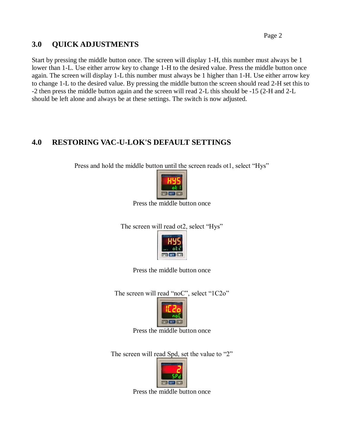## **3.0 QUICK ADJUSTMENTS**

Start by pressing the middle button once. The screen will display 1-H, this number must always be 1 lower than 1-L. Use either arrow key to change 1-H to the desired value. Press the middle button once again. The screen will display 1-L this number must always be 1 higher than 1-H. Use either arrow key to change 1-L to the desired value. By pressing the middle button the screen should read 2-H set this to -2 then press the middle button again and the screen will read 2-L this should be -15 (2-H and 2-L should be left alone and always be at these settings. The switch is now adjusted.

# **4.0 RESTORING VAC-U-LOK'S DEFAULT SETTINGS**

Press and hold the middle button until the screen reads ot1, select "Hys"



Press the middle button once

The screen will read ot2, select "Hys"



Press the middle button once

The screen will read "noC", select "1C2o"



Press the middle button once

The screen will read Spd, set the value to "2"



Press the middle button once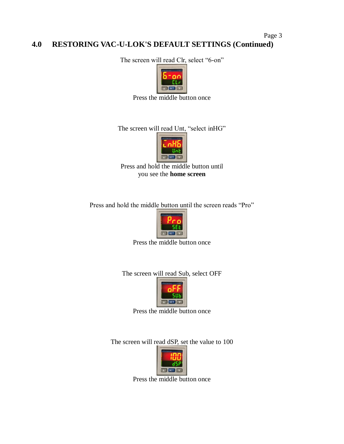#### Page 3 **4.0 RESTORING VAC-U-LOK'S DEFAULT SETTINGS (Continued)**

The screen will read Clr, select "6-on"



Press the middle button once

The screen will read Unt, "select inHG"



Press and hold the middle button until you see the **home screen**

Press and hold the middle button until the screen reads "Pro"



Press the middle button once

The screen will read Sub, select OFF



Press the middle button once

The screen will read dSP, set the value to 100



Press the middle button once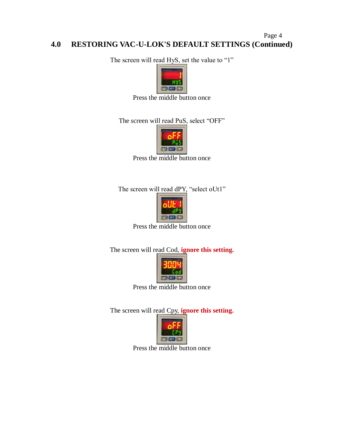#### Page 4 **4.0 RESTORING VAC-U-LOK'S DEFAULT SETTINGS (Continued)**

The screen will read HyS, set the value to "1"



Press the middle button once

The screen will read PuS, select "OFF"



Press the middle button once

The screen will read dPY, "select oUt1"



Press the middle button once

The screen will read Cod, **ignore this setting.**



Press the middle button once

The screen will read Cpy, **ignore this setting.**



Press the middle button once